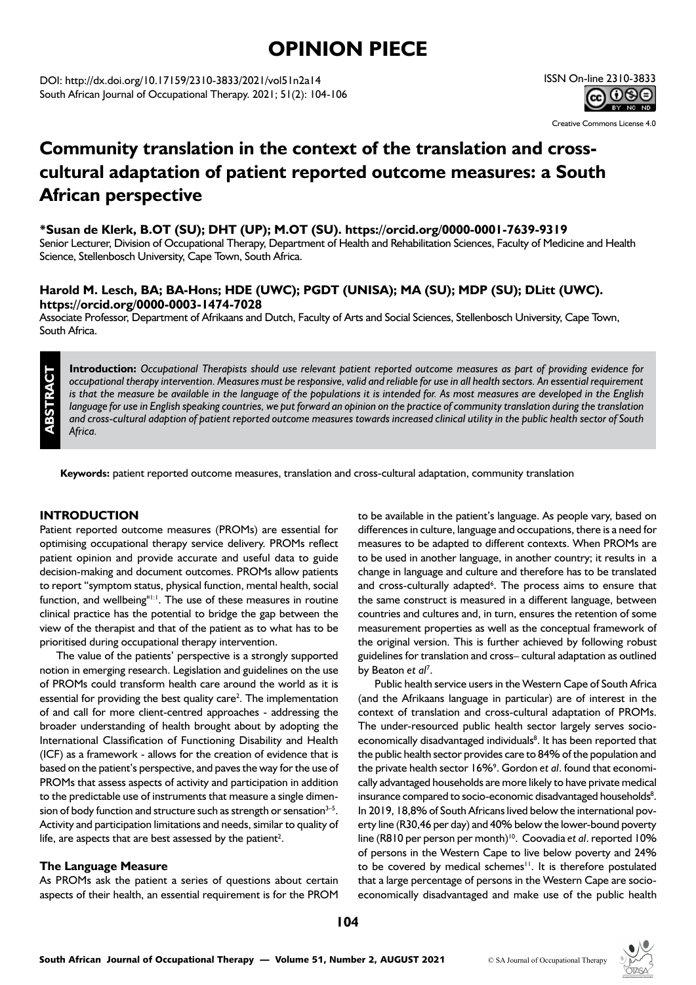# **OPINION PIECE**

DOI: http://dx.doi.org/10.17159/2310-3833/2021/vol51n2a14 South African Journal of Occupational Therapy. 2021; 51(2): 104-106

## ISSN On-line 2310-3833 <u>ଇ ୦୭୧</u>

Creative Commons License 4.0

## **Community translation in the context of the translation and crosscultural adaptation of patient reported outcome measures: a South African perspective**

**\*Susan de Klerk, B.OT (SU); DHT (UP); M.OT (SU). https://orcid.org/0000-0001-7639-9319**

Senior Lecturer, Division of Occupational Therapy, Department of Health and Rehabilitation Sciences, Faculty of Medicine and Health Science, Stellenbosch University, Cape Town, South Africa.

## **Harold M. Lesch, BA; BA-Hons; HDE (UWC); PGDT (UNISA); MA (SU); MDP (SU); DLitt (UWC). https://orcid.org/0000-0003-1474-7028**

Associate Professor, Department of Afrikaans and Dutch, Faculty of Arts and Social Sciences, Stellenbosch University, Cape Town, South Africa.

**Introduction:** *Occupational Therapists should use relevant patient reported outcome measures as part of providing evidence for occupational therapy intervention. Measures must be responsive, valid and reliable for use in all health sectors. An essential requirement is that the measure be available in the language of the populations it is intended for. As most measures are developed in the English*  language for use in English speaking countries, we put forward an opinion on the practice of community translation during the translation *and cross-cultural adaption of patient reported outcome measures towards increased clinical utility in the public health sector of South Africa.*

**Keywords:** patient reported outcome measures, translation and cross-cultural adaptation, community translation

### **INTRODUCTION**

**ABSTRACT**

Patient reported outcome measures (PROMs) are essential for optimising occupational therapy service delivery. PROMs reflect patient opinion and provide accurate and useful data to guide decision-making and document outcomes. PROMs allow patients to report "symptom status, physical function, mental health, social function, and wellbeing"<sup>[1:1</sup>]. The use of these measures in routine clinical practice has the potential to bridge the gap between the view of the therapist and that of the patient as to what has to be prioritised during occupational therapy intervention.

The value of the patients' perspective is a strongly supported notion in emerging research. Legislation and guidelines on the use of PROMs could transform health care around the world as it is essential for providing the best quality care<sup>2</sup>. The implementation of and call for more client-centred approaches - addressing the broader understanding of health brought about by adopting the International Classification of Functioning Disability and Health (ICF) as a framework - allows for the creation of evidence that is based on the patient's perspective, and paves the way for the use of PROMs that assess aspects of activity and participation in addition to the predictable use of instruments that measure a single dimension of body function and structure such as strength or sensation $3-5$ . Activity and participation limitations and needs, similar to quality of life, are aspects that are best assessed by the patient<sup>2</sup>.

### **The Language Measure**

As PROMs ask the patient a series of questions about certain aspects of their health, an essential requirement is for the PROM

to be available in the patient's language. As people vary, based on differences in culture, language and occupations, there is a need for measures to be adapted to different contexts. When PROMs are to be used in another language, in another country; it results in a change in language and culture and therefore has to be translated and cross-culturally adapted<sup>6</sup>. The process aims to ensure that the same construct is measured in a different language, between countries and cultures and, in turn, ensures the retention of some measurement properties as well as the conceptual framework of the original version. This is further achieved by following robust guidelines for translation and cross– cultural adaptation as outlined by Beaton et al<sup>7</sup>.

Public health service users in the Western Cape of South Africa (and the Afrikaans language in particular) are of interest in the context of translation and cross-cultural adaptation of PROMs. The under-resourced public health sector largely serves socioeconomically disadvantaged individuals<sup>8</sup>. It has been reported that the public health sector provides care to 84% of the population and the private health sector 16%9 . Gordon *et al*. found that economically advantaged households are more likely to have private medical insurance compared to socio-economic disadvantaged households<sup>8</sup>. In 2019, 18,8% of South Africans lived below the international poverty line (R30,46 per day) and 40% below the lower-bound poverty line (R810 per person per month)<sup>10</sup>. Coovadia *et al.* reported 10% of persons in the Western Cape to live below poverty and 24% to be covered by medical schemes<sup>11</sup>. It is therefore postulated that a large percentage of persons in the Western Cape are socioeconomically disadvantaged and make use of the public health

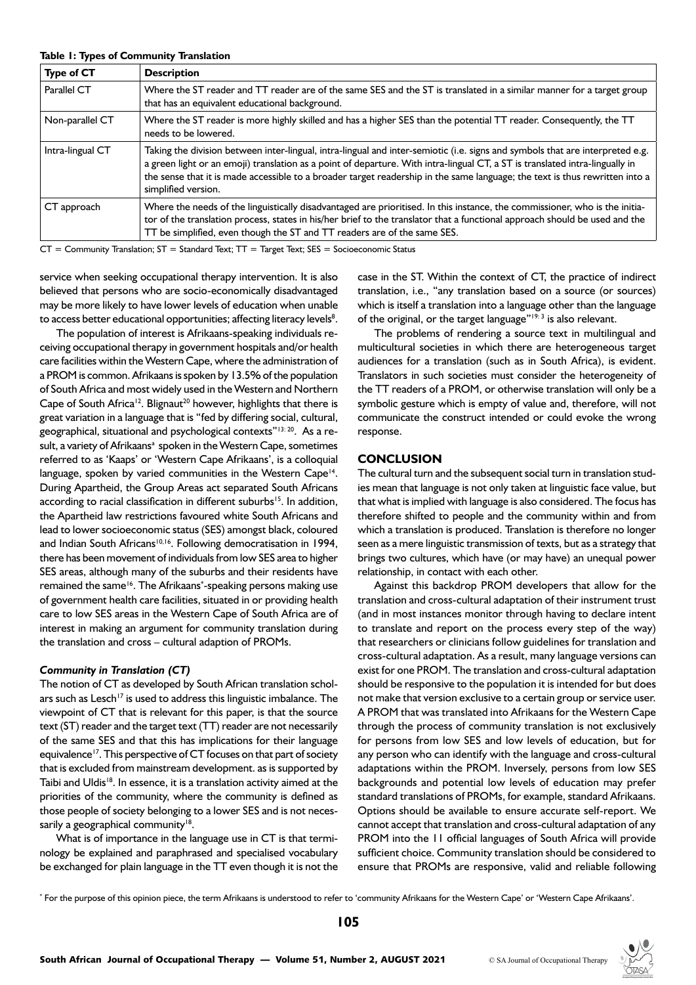| Type of CT       | <b>Description</b>                                                                                                                                                                                                                                                                                                                                                                                                  |
|------------------|---------------------------------------------------------------------------------------------------------------------------------------------------------------------------------------------------------------------------------------------------------------------------------------------------------------------------------------------------------------------------------------------------------------------|
| Parallel CT      | Where the ST reader and TT reader are of the same SES and the ST is translated in a similar manner for a target group<br>that has an equivalent educational background.                                                                                                                                                                                                                                             |
| Non-parallel CT  | Where the ST reader is more highly skilled and has a higher SES than the potential TT reader. Consequently, the TT<br>needs to be lowered.                                                                                                                                                                                                                                                                          |
| Intra-lingual CT | Taking the division between inter-lingual, intra-lingual and inter-semiotic (i.e. signs and symbols that are interpreted e.g.<br>a green light or an emoji) translation as a point of departure. With intra-lingual CT, a ST is translated intra-lingually in<br>the sense that it is made accessible to a broader target readership in the same language; the text is thus rewritten into a<br>simplified version. |
| CT approach      | Where the needs of the linguistically disadvantaged are prioritised. In this instance, the commissioner, who is the initia-<br>tor of the translation process, states in his/her brief to the translator that a functional approach should be used and the<br>TT be simplified, even though the ST and TT readers are of the same SES.                                                                              |

#### **Table 1: Types of Community Translation**

 $CT =$  Community Translation;  $ST =$  Standard Text;  $TT =$  Target Text;  $SES =$  Socioeconomic Status

service when seeking occupational therapy intervention. It is also believed that persons who are socio-economically disadvantaged may be more likely to have lower levels of education when unable to access better educational opportunities; affecting literacy levels<sup>8</sup>.

The population of interest is Afrikaans-speaking individuals receiving occupational therapy in government hospitals and/or health care facilities within the Western Cape, where the administration of a PROM is common. Afrikaans is spoken by 13.5% of the population of South Africa and most widely used in the Western and Northern Cape of South Africa<sup>12</sup>. Blignaut<sup>20</sup> however, highlights that there is great variation in a language that is "fed by differing social, cultural, geographical, situational and psychological contexts"13: 20. As a result, a variety of Afrikaans<sup>a</sup> spoken in the Western Cape, sometimes referred to as 'Kaaps' or 'Western Cape Afrikaans', is a colloquial language, spoken by varied communities in the Western Cape<sup>14</sup>. During Apartheid, the Group Areas act separated South Africans according to racial classification in different suburbs<sup>15</sup>. In addition, the Apartheid law restrictions favoured white South Africans and lead to lower socioeconomic status (SES) amongst black, coloured and Indian South Africans<sup>10,16</sup>. Following democratisation in 1994, there has been movement of individuals from low SES area to higher SES areas, although many of the suburbs and their residents have remained the same<sup>16</sup>. The Afrikaans<sup>\*</sup>-speaking persons making use of government health care facilities, situated in or providing health care to low SES areas in the Western Cape of South Africa are of interest in making an argument for community translation during the translation and cross – cultural adaption of PROMs.

#### *Community in Translation (CT)*

The notion of CT as developed by South African translation scholars such as Lesch<sup>17</sup> is used to address this linguistic imbalance. The viewpoint of CT that is relevant for this paper, is that the source text (ST) reader and the target text (TT) reader are not necessarily of the same SES and that this has implications for their language equivalence<sup>17</sup>. This perspective of CT focuses on that part of society that is excluded from mainstream development. as is supported by Taibi and Uldis<sup>18</sup>. In essence, it is a translation activity aimed at the priorities of the community, where the community is defined as those people of society belonging to a lower SES and is not necessarily a geographical community<sup>18</sup>.

What is of importance in the language use in CT is that terminology be explained and paraphrased and specialised vocabulary be exchanged for plain language in the TT even though it is not the case in the ST. Within the context of CT, the practice of indirect translation, i.e., "any translation based on a source (or sources) which is itself a translation into a language other than the language of the original, or the target language"19: 3 is also relevant.

The problems of rendering a source text in multilingual and multicultural societies in which there are heterogeneous target audiences for a translation (such as in South Africa), is evident. Translators in such societies must consider the heterogeneity of the TT readers of a PROM, or otherwise translation will only be a symbolic gesture which is empty of value and, therefore, will not communicate the construct intended or could evoke the wrong response.

#### **CONCLUSION**

The cultural turn and the subsequent social turn in translation studies mean that language is not only taken at linguistic face value, but that what is implied with language is also considered. The focus has therefore shifted to people and the community within and from which a translation is produced. Translation is therefore no longer seen as a mere linguistic transmission of texts, but as a strategy that brings two cultures, which have (or may have) an unequal power relationship, in contact with each other.

Against this backdrop PROM developers that allow for the translation and cross-cultural adaptation of their instrument trust (and in most instances monitor through having to declare intent to translate and report on the process every step of the way) that researchers or clinicians follow guidelines for translation and cross-cultural adaptation. As a result, many language versions can exist for one PROM. The translation and cross-cultural adaptation should be responsive to the population it is intended for but does not make that version exclusive to a certain group or service user. A PROM that was translated into Afrikaans for the Western Cape through the process of community translation is not exclusively for persons from low SES and low levels of education, but for any person who can identify with the language and cross-cultural adaptations within the PROM. Inversely, persons from low SES backgrounds and potential low levels of education may prefer standard translations of PROMs, for example, standard Afrikaans. Options should be available to ensure accurate self-report. We cannot accept that translation and cross-cultural adaptation of any PROM into the 11 official languages of South Africa will provide sufficient choice. Community translation should be considered to ensure that PROMs are responsive, valid and reliable following

\* For the purpose of this opinion piece, the term Afrikaans is understood to refer to 'community Afrikaans for the Western Cape' or 'Western Cape Afrikaans'.